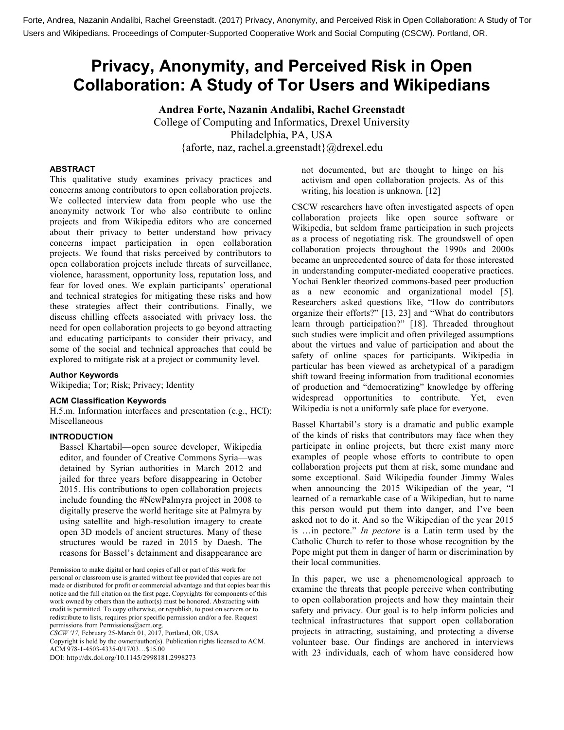Forte, Andrea, Nazanin Andalibi, Rachel Greenstadt. (2017) Privacy, Anonymity, and Perceived Risk in Open Collaboration: A Study of Tor Users and Wikipedians. Proceedings of Computer-Supported Cooperative Work and Social Computing (CSCW). Portland, OR.

# **Privacy, Anonymity, and Perceived Risk in Open Collaboration: A Study of Tor Users and Wikipedians**

**Andrea Forte, Nazanin Andalibi, Rachel Greenstadt** College of Computing and Informatics, Drexel University Philadelphia, PA, USA {aforte, naz, rachel.a.greenstadt}@drexel.edu

#### **ABSTRACT**

This qualitative study examines privacy practices and concerns among contributors to open collaboration projects. We collected interview data from people who use the anonymity network Tor who also contribute to online projects and from Wikipedia editors who are concerned about their privacy to better understand how privacy concerns impact participation in open collaboration projects. We found that risks perceived by contributors to open collaboration projects include threats of surveillance, violence, harassment, opportunity loss, reputation loss, and fear for loved ones. We explain participants' operational and technical strategies for mitigating these risks and how these strategies affect their contributions. Finally, we discuss chilling effects associated with privacy loss, the need for open collaboration projects to go beyond attracting and educating participants to consider their privacy, and some of the social and technical approaches that could be explored to mitigate risk at a project or community level.

#### **Author Keywords**

Wikipedia; Tor; Risk; Privacy; Identity

#### **ACM Classification Keywords**

H.5.m. Information interfaces and presentation (e.g., HCI): Miscellaneous

# **INTRODUCTION**

Bassel Khartabil—open source developer, Wikipedia editor, and founder of Creative Commons Syria—was detained by Syrian authorities in March 2012 and jailed for three years before disappearing in October 2015. His contributions to open collaboration projects include founding the #NewPalmyra project in 2008 to digitally preserve the world heritage site at Palmyra by using satellite and high-resolution imagery to create open 3D models of ancient structures. Many of these structures would be razed in 2015 by Daesh. The reasons for Bassel's detainment and disappearance are

*CSCW '17,* February 25-March 01, 2017, Portland, OR, USA

Copyright is held by the owner/author(s). Publication rights licensed to ACM. ACM 978-1-4503-4335-0/17/03…\$15.00

DOI: http://dx.doi.org/10.1145/2998181.2998273

not documented, but are thought to hinge on his activism and open collaboration projects. As of this writing, his location is unknown. [12]

CSCW researchers have often investigated aspects of open collaboration projects like open source software or Wikipedia, but seldom frame participation in such projects as a process of negotiating risk. The groundswell of open collaboration projects throughout the 1990s and 2000s became an unprecedented source of data for those interested in understanding computer-mediated cooperative practices. Yochai Benkler theorized commons-based peer production as a new economic and organizational model [5]. Researchers asked questions like, "How do contributors organize their efforts?" [13, 23] and "What do contributors learn through participation?" [18]. Threaded throughout such studies were implicit and often privileged assumptions about the virtues and value of participation and about the safety of online spaces for participants. Wikipedia in particular has been viewed as archetypical of a paradigm shift toward freeing information from traditional economies of production and "democratizing" knowledge by offering widespread opportunities to contribute. Yet, even Wikipedia is not a uniformly safe place for everyone.

Bassel Khartabil's story is a dramatic and public example of the kinds of risks that contributors may face when they participate in online projects, but there exist many more examples of people whose efforts to contribute to open collaboration projects put them at risk, some mundane and some exceptional. Said Wikipedia founder Jimmy Wales when announcing the 2015 Wikipedian of the year, "I learned of a remarkable case of a Wikipedian, but to name this person would put them into danger, and I've been asked not to do it. And so the Wikipedian of the year 2015 is …in pectore." *In pectore* is a Latin term used by the Catholic Church to refer to those whose recognition by the Pope might put them in danger of harm or discrimination by their local communities.

In this paper, we use a phenomenological approach to examine the threats that people perceive when contributing to open collaboration projects and how they maintain their safety and privacy. Our goal is to help inform policies and technical infrastructures that support open collaboration projects in attracting, sustaining, and protecting a diverse volunteer base. Our findings are anchored in interviews with 23 individuals, each of whom have considered how

Permission to make digital or hard copies of all or part of this work for personal or classroom use is granted without fee provided that copies are not made or distributed for profit or commercial advantage and that copies bear this notice and the full citation on the first page. Copyrights for components of this work owned by others than the author(s) must be honored. Abstracting with credit is permitted. To copy otherwise, or republish, to post on servers or to redistribute to lists, requires prior specific permission and/or a fee. Request permissions from Permissions@acm.org.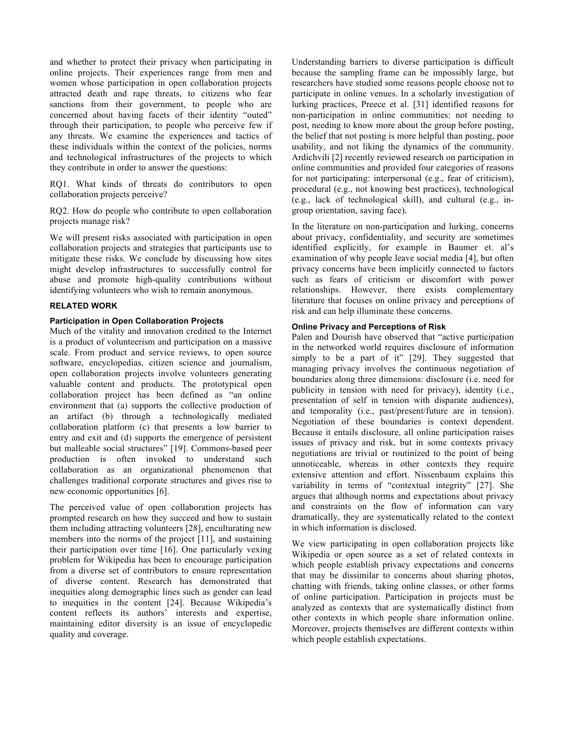and whether to protect their privacy when participating in online projects. Their experiences range from men and women whose participation in open collaboration projects attracted death and rape threats, to citizens who fear sanctions from their government, to people who are concerned about having facets of their identity "outed" through their participation, to people who perceive few if any threats. We examine the experiences and tactics of these individuals within the context of the policies, norms and technological infrastructures of the projects to which they contribute in order to answer the questions:

RQ1. What kinds of threats do contributors to open collaboration projects perceive?

RQ2. How do people who contribute to open collaboration projects manage risk?

We will present risks associated with participation in open collaboration projects and strategies that participants use to mitigate these risks. We conclude by discussing how sites might develop infrastructures to successfully control for abuse and promote high-quality contributions without identifying volunteers who wish to remain anonymous.

# **RELATED WORK**

# **Participation in Open Collaboration Projects**

Much of the vitality and innovation credited to the Internet is a product of volunteerism and participation on a massive scale. From product and service reviews, to open source software, encyclopedias, citizen science and journalism, open collaboration projects involve volunteers generating valuable content and products. The prototypical open collaboration project has been defined as "an online environment that (a) supports the collective production of an artifact (b) through a technologically mediated collaboration platform (c) that presents a low barrier to entry and exit and (d) supports the emergence of persistent but malleable social structures" [19]. Commons-based peer production is often invoked to understand such collaboration as an organizational phenomenon that challenges traditional corporate structures and gives rise to new economic opportunities [6].

The perceived value of open collaboration projects has prompted research on how they succeed and how to sustain them including attracting volunteers [28], enculturating new members into the norms of the project [11], and sustaining their participation over time [16]. One particularly vexing problem for Wikipedia has been to encourage participation from a diverse set of contributors to ensure representation of diverse content. Research has demonstrated that inequities along demographic lines such as gender can lead to inequities in the content [24]. Because Wikipedia's content reflects its authors' interests and expertise, maintaining editor diversity is an issue of encyclopedic quality and coverage.

Understanding barriers to diverse participation is difficult because the sampling frame can be impossibly large, but researchers have studied some reasons people choose not to participate in online venues. In a scholarly investigation of lurking practices, Preece et al. [31] identified reasons for non-participation in online communities: not needing to post, needing to know more about the group before posting, the belief that not posting is more helpful than posting, poor usability, and not liking the dynamics of the community. Ardichvili [2] recently reviewed research on participation in online communities and provided four categories of reasons for not participating: interpersonal (e.g., fear of criticism), procedural (e.g., not knowing best practices), technological (e.g., lack of technological skill), and cultural (e.g., ingroup orientation, saving face).

In the literature on non-participation and lurking, concerns about privacy, confidentiality, and security are sometimes identified explicitly, for example in Baumer et. al's examination of why people leave social media [4], but often privacy concerns have been implicitly connected to factors such as fears of criticism or discomfort with power relationships. However, there exists complementary literature that focuses on online privacy and perceptions of risk and can help illuminate these concerns.

# **Online Privacy and Perceptions of Risk**

Palen and Dourish have observed that "active participation in the networked world requires disclosure of information simply to be a part of it" [29]. They suggested that managing privacy involves the continuous negotiation of boundaries along three dimensions: disclosure (i.e. need for publicity in tension with need for privacy), identity (i.e., presentation of self in tension with disparate audiences), and temporality (i.e., past/present/future are in tension). Negotiation of these boundaries is context dependent. Because it entails disclosure, all online participation raises issues of privacy and risk, but in some contexts privacy negotiations are trivial or routinized to the point of being unnoticeable, whereas in other contexts they require extensive attention and effort. Nissenbaum explains this variability in terms of "contextual integrity" [27]. She argues that although norms and expectations about privacy and constraints on the flow of information can vary dramatically, they are systematically related to the context in which information is disclosed.

We view participating in open collaboration projects like Wikipedia or open source as a set of related contexts in which people establish privacy expectations and concerns that may be dissimilar to concerns about sharing photos, chatting with friends, taking online classes, or other forms of online participation. Participation in projects must be analyzed as contexts that are systematically distinct from other contexts in which people share information online. Moreover, projects themselves are different contexts within which people establish expectations.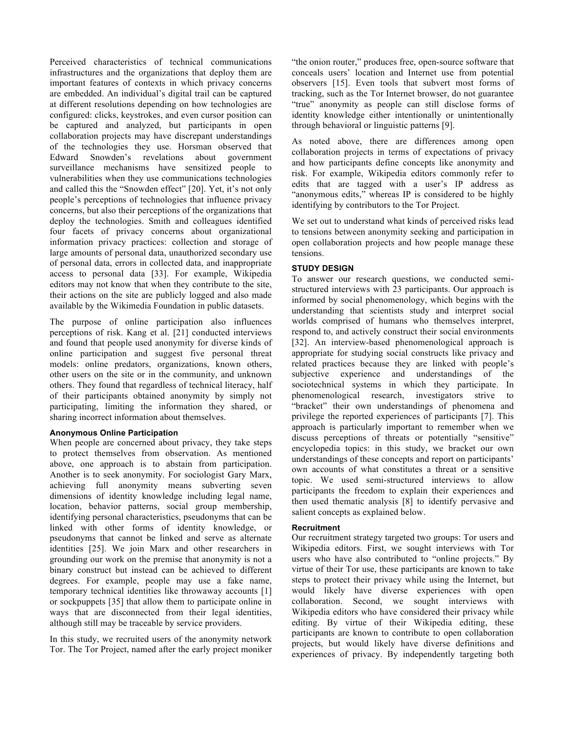Perceived characteristics of technical communications infrastructures and the organizations that deploy them are important features of contexts in which privacy concerns are embedded. An individual's digital trail can be captured at different resolutions depending on how technologies are configured: clicks, keystrokes, and even cursor position can be captured and analyzed, but participants in open collaboration projects may have discrepant understandings of the technologies they use. Horsman observed that Edward Snowden's revelations about government surveillance mechanisms have sensitized people to vulnerabilities when they use communications technologies and called this the "Snowden effect" [20]. Yet, it's not only people's perceptions of technologies that influence privacy concerns, but also their perceptions of the organizations that deploy the technologies. Smith and colleagues identified four facets of privacy concerns about organizational information privacy practices: collection and storage of large amounts of personal data, unauthorized secondary use of personal data, errors in collected data, and inappropriate access to personal data [33]. For example, Wikipedia editors may not know that when they contribute to the site, their actions on the site are publicly logged and also made available by the Wikimedia Foundation in public datasets.

The purpose of online participation also influences perceptions of risk. Kang et al. [21] conducted interviews and found that people used anonymity for diverse kinds of online participation and suggest five personal threat models: online predators, organizations, known others, other users on the site or in the community, and unknown others. They found that regardless of technical literacy, half of their participants obtained anonymity by simply not participating, limiting the information they shared, or sharing incorrect information about themselves.

# **Anonymous Online Participation**

When people are concerned about privacy, they take steps to protect themselves from observation. As mentioned above, one approach is to abstain from participation. Another is to seek anonymity. For sociologist Gary Marx, achieving full anonymity means subverting seven dimensions of identity knowledge including legal name, location, behavior patterns, social group membership, identifying personal characteristics, pseudonyms that can be linked with other forms of identity knowledge, or pseudonyms that cannot be linked and serve as alternate identities [25]. We join Marx and other researchers in grounding our work on the premise that anonymity is not a binary construct but instead can be achieved to different degrees. For example, people may use a fake name, temporary technical identities like throwaway accounts [1] or sockpuppets [35] that allow them to participate online in ways that are disconnected from their legal identities, although still may be traceable by service providers.

In this study, we recruited users of the anonymity network Tor. The Tor Project, named after the early project moniker

"the onion router," produces free, open-source software that conceals users' location and Internet use from potential observers [15]. Even tools that subvert most forms of tracking, such as the Tor Internet browser, do not guarantee "true" anonymity as people can still disclose forms of identity knowledge either intentionally or unintentionally through behavioral or linguistic patterns [9].

As noted above, there are differences among open collaboration projects in terms of expectations of privacy and how participants define concepts like anonymity and risk. For example, Wikipedia editors commonly refer to edits that are tagged with a user's IP address as "anonymous edits," whereas IP is considered to be highly identifying by contributors to the Tor Project.

We set out to understand what kinds of perceived risks lead to tensions between anonymity seeking and participation in open collaboration projects and how people manage these tensions.

# **STUDY DESIGN**

To answer our research questions, we conducted semistructured interviews with 23 participants. Our approach is informed by social phenomenology, which begins with the understanding that scientists study and interpret social worlds comprised of humans who themselves interpret. respond to, and actively construct their social environments [32]. An interview-based phenomenological approach is appropriate for studying social constructs like privacy and related practices because they are linked with people's subjective experience and understandings of the sociotechnical systems in which they participate. In phenomenological research, investigators strive to "bracket" their own understandings of phenomena and privilege the reported experiences of participants [7]. This approach is particularly important to remember when we discuss perceptions of threats or potentially "sensitive" encyclopedia topics: in this study, we bracket our own understandings of these concepts and report on participants' own accounts of what constitutes a threat or a sensitive topic. We used semi-structured interviews to allow participants the freedom to explain their experiences and then used thematic analysis [8] to identify pervasive and salient concepts as explained below.

# **Recruitment**

Our recruitment strategy targeted two groups: Tor users and Wikipedia editors. First, we sought interviews with Tor users who have also contributed to "online projects." By virtue of their Tor use, these participants are known to take steps to protect their privacy while using the Internet, but would likely have diverse experiences with open collaboration. Second, we sought interviews with Wikipedia editors who have considered their privacy while editing. By virtue of their Wikipedia editing, these participants are known to contribute to open collaboration projects, but would likely have diverse definitions and experiences of privacy. By independently targeting both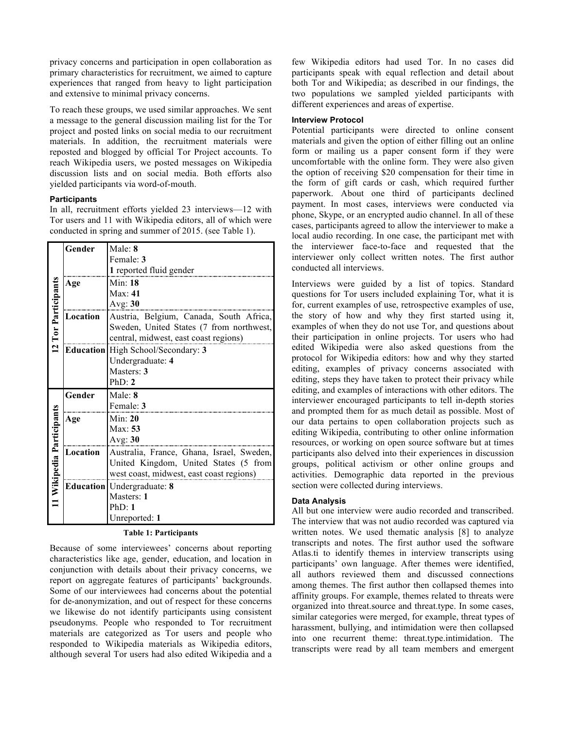privacy concerns and participation in open collaboration as primary characteristics for recruitment, we aimed to capture experiences that ranged from heavy to light participation and extensive to minimal privacy concerns.

To reach these groups, we used similar approaches. We sent a message to the general discussion mailing list for the Tor project and posted links on social media to our recruitment materials. In addition, the recruitment materials were reposted and blogged by official Tor Project accounts. To reach Wikipedia users, we posted messages on Wikipedia discussion lists and on social media. Both efforts also yielded participants via word-of-mouth.

# **Participants**

In all, recruitment efforts yielded 23 interviews—12 with Tor users and 11 with Wikipedia editors, all of which were conducted in spring and summer of 2015. (see Table 1).

|                           | Gender   | Male: $8$                                 |  |  |  |
|---------------------------|----------|-------------------------------------------|--|--|--|
| 12 Tor Participants       |          | Female: 3                                 |  |  |  |
|                           |          | 1 reported fluid gender                   |  |  |  |
|                           | Age      | Min: 18                                   |  |  |  |
|                           |          | Max: 41                                   |  |  |  |
|                           |          | Avg: 30                                   |  |  |  |
|                           | Location | Austria, Belgium, Canada, South Africa,   |  |  |  |
|                           |          | Sweden, United States (7 from northwest,  |  |  |  |
|                           |          | central, midwest, east coast regions)     |  |  |  |
|                           |          | Education High School/Secondary: 3        |  |  |  |
|                           |          | Undergraduate: 4                          |  |  |  |
|                           |          | Masters: 3                                |  |  |  |
|                           |          | PhD: 2                                    |  |  |  |
| 11 Wikipedia Participants | Gender   | Male: 8                                   |  |  |  |
|                           |          | Female: 3                                 |  |  |  |
|                           | Age      | Min: 20                                   |  |  |  |
|                           |          | Max: 53                                   |  |  |  |
|                           |          | Avg: 30                                   |  |  |  |
|                           | Location | Australia, France, Ghana, Israel, Sweden, |  |  |  |
|                           |          | United Kingdom, United States (5 from     |  |  |  |
|                           |          | west coast, midwest, east coast regions)  |  |  |  |
|                           |          | Education Undergraduate: 8                |  |  |  |
|                           |          | Masters: 1                                |  |  |  |
|                           |          | PhD:1                                     |  |  |  |
|                           |          | Unreported: 1                             |  |  |  |

# **Table 1: Participants**

Because of some interviewees' concerns about reporting characteristics like age, gender, education, and location in conjunction with details about their privacy concerns, we report on aggregate features of participants' backgrounds. Some of our interviewees had concerns about the potential for de-anonymization, and out of respect for these concerns we likewise do not identify participants using consistent pseudonyms. People who responded to Tor recruitment materials are categorized as Tor users and people who responded to Wikipedia materials as Wikipedia editors, although several Tor users had also edited Wikipedia and a few Wikipedia editors had used Tor. In no cases did participants speak with equal reflection and detail about both Tor and Wikipedia; as described in our findings, the two populations we sampled yielded participants with different experiences and areas of expertise.

#### **Interview Protocol**

Potential participants were directed to online consent materials and given the option of either filling out an online form or mailing us a paper consent form if they were uncomfortable with the online form. They were also given the option of receiving \$20 compensation for their time in the form of gift cards or cash, which required further paperwork. About one third of participants declined payment. In most cases, interviews were conducted via phone, Skype, or an encrypted audio channel. In all of these cases, participants agreed to allow the interviewer to make a local audio recording. In one case, the participant met with the interviewer face-to-face and requested that the interviewer only collect written notes. The first author conducted all interviews.

Interviews were guided by a list of topics. Standard questions for Tor users included explaining Tor, what it is for, current examples of use, retrospective examples of use, the story of how and why they first started using it, examples of when they do not use Tor, and questions about their participation in online projects. Tor users who had edited Wikipedia were also asked questions from the protocol for Wikipedia editors: how and why they started editing, examples of privacy concerns associated with editing, steps they have taken to protect their privacy while editing, and examples of interactions with other editors. The interviewer encouraged participants to tell in-depth stories and prompted them for as much detail as possible. Most of our data pertains to open collaboration projects such as editing Wikipedia, contributing to other online information resources, or working on open source software but at times participants also delved into their experiences in discussion groups, political activism or other online groups and activities. Demographic data reported in the previous section were collected during interviews.

## **Data Analysis**

All but one interview were audio recorded and transcribed. The interview that was not audio recorded was captured via written notes. We used thematic analysis [8] to analyze transcripts and notes. The first author used the software Atlas.ti to identify themes in interview transcripts using participants' own language. After themes were identified, all authors reviewed them and discussed connections among themes. The first author then collapsed themes into affinity groups. For example, themes related to threats were organized into threat.source and threat.type. In some cases, similar categories were merged, for example, threat types of harassment, bullying, and intimidation were then collapsed into one recurrent theme: threat.type.intimidation. The transcripts were read by all team members and emergent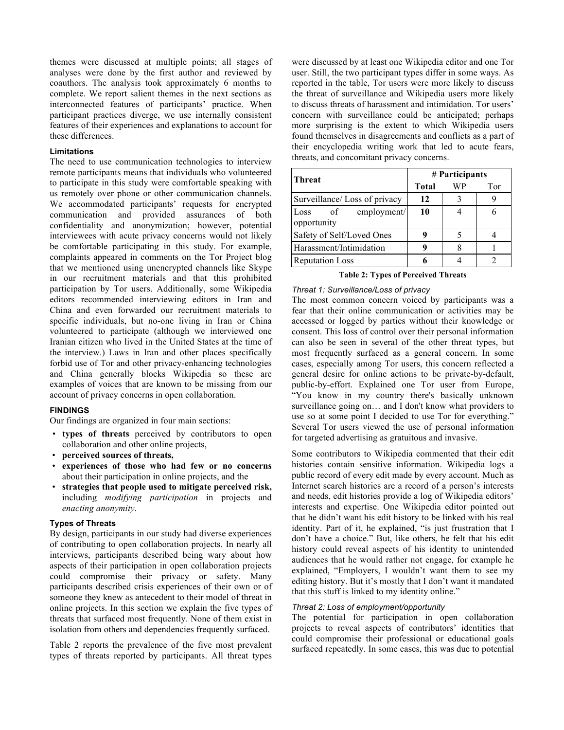themes were discussed at multiple points; all stages of analyses were done by the first author and reviewed by coauthors. The analysis took approximately 6 months to complete. We report salient themes in the next sections as interconnected features of participants' practice. When participant practices diverge, we use internally consistent features of their experiences and explanations to account for these differences.

# **Limitations**

The need to use communication technologies to interview remote participants means that individuals who volunteered to participate in this study were comfortable speaking with us remotely over phone or other communication channels. We accommodated participants' requests for encrypted communication and provided assurances of both confidentiality and anonymization; however, potential interviewees with acute privacy concerns would not likely be comfortable participating in this study. For example, complaints appeared in comments on the Tor Project blog that we mentioned using unencrypted channels like Skype in our recruitment materials and that this prohibited participation by Tor users. Additionally, some Wikipedia editors recommended interviewing editors in Iran and China and even forwarded our recruitment materials to specific individuals, but no-one living in Iran or China volunteered to participate (although we interviewed one Iranian citizen who lived in the United States at the time of the interview.) Laws in Iran and other places specifically forbid use of Tor and other privacy-enhancing technologies and China generally blocks Wikipedia so these are examples of voices that are known to be missing from our account of privacy concerns in open collaboration.

# **FINDINGS**

Our findings are organized in four main sections:

- **types of threats** perceived by contributors to open collaboration and other online projects,
- **perceived sources of threats,**
- **experiences of those who had few or no concerns** about their participation in online projects, and the
- **strategies that people used to mitigate perceived risk,**  including *modifying participation* in projects and *enacting anonymity*.

# **Types of Threats**

By design, participants in our study had diverse experiences of contributing to open collaboration projects. In nearly all interviews, participants described being wary about how aspects of their participation in open collaboration projects could compromise their privacy or safety. Many participants described crisis experiences of their own or of someone they knew as antecedent to their model of threat in online projects. In this section we explain the five types of threats that surfaced most frequently. None of them exist in isolation from others and dependencies frequently surfaced.

Table 2 reports the prevalence of the five most prevalent types of threats reported by participants. All threat types were discussed by at least one Wikipedia editor and one Tor user. Still, the two participant types differ in some ways. As reported in the table, Tor users were more likely to discuss the threat of surveillance and Wikipedia users more likely to discuss threats of harassment and intimidation. Tor users' concern with surveillance could be anticipated; perhaps more surprising is the extent to which Wikipedia users found themselves in disagreements and conflicts as a part of their encyclopedia writing work that led to acute fears, threats, and concomitant privacy concerns.

| <b>Threat</b>                            | # Participants |    |     |
|------------------------------------------|----------------|----|-----|
|                                          | <b>Total</b>   | WP | Tor |
| Surveillance/Loss of privacy             | 12             |    |     |
| employment/<br>of<br>Loss<br>opportunity | 10             |    |     |
| Safety of Self/Loved Ones                |                |    |     |
| Harassment/Intimidation                  |                |    |     |
| <b>Reputation Loss</b>                   |                |    |     |

**Table 2: Types of Perceived Threats**

#### *Threat 1: Surveillance/Loss of privacy*

The most common concern voiced by participants was a fear that their online communication or activities may be accessed or logged by parties without their knowledge or consent. This loss of control over their personal information can also be seen in several of the other threat types, but most frequently surfaced as a general concern. In some cases, especially among Tor users, this concern reflected a general desire for online actions to be private-by-default, public-by-effort. Explained one Tor user from Europe, "You know in my country there's basically unknown surveillance going on… and I don't know what providers to use so at some point I decided to use Tor for everything." Several Tor users viewed the use of personal information for targeted advertising as gratuitous and invasive.

Some contributors to Wikipedia commented that their edit histories contain sensitive information. Wikipedia logs a public record of every edit made by every account. Much as Internet search histories are a record of a person's interests and needs, edit histories provide a log of Wikipedia editors' interests and expertise. One Wikipedia editor pointed out that he didn't want his edit history to be linked with his real identity. Part of it, he explained, "is just frustration that I don't have a choice." But, like others, he felt that his edit history could reveal aspects of his identity to unintended audiences that he would rather not engage, for example he explained, "Employers, I wouldn't want them to see my editing history. But it's mostly that I don't want it mandated that this stuff is linked to my identity online."

## *Threat 2: Loss of employment/opportunity*

The potential for participation in open collaboration projects to reveal aspects of contributors' identities that could compromise their professional or educational goals surfaced repeatedly. In some cases, this was due to potential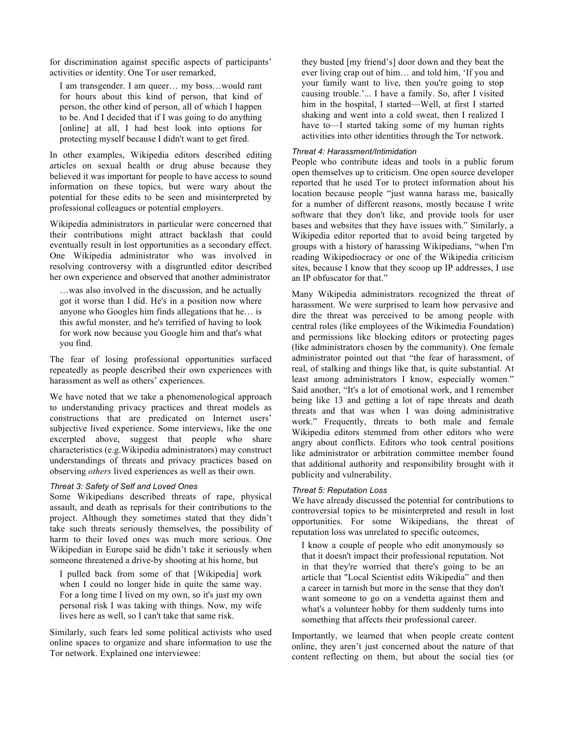for discrimination against specific aspects of participants' activities or identity. One Tor user remarked,

I am transgender. I am queer… my boss…would rant for hours about this kind of person, that kind of person, the other kind of person, all of which I happen to be. And I decided that if I was going to do anything [online] at all, I had best look into options for protecting myself because I didn't want to get fired.

In other examples, Wikipedia editors described editing articles on sexual health or drug abuse because they believed it was important for people to have access to sound information on these topics, but were wary about the potential for these edits to be seen and misinterpreted by professional colleagues or potential employers.

Wikipedia administrators in particular were concerned that their contributions might attract backlash that could eventually result in lost opportunities as a secondary effect. One Wikipedia administrator who was involved in resolving controversy with a disgruntled editor described her own experience and observed that another administrator

…was also involved in the discussion, and he actually got it worse than I did. He's in a position now where anyone who Googles him finds allegations that he… is this awful monster, and he's terrified of having to look for work now because you Google him and that's what you find.

The fear of losing professional opportunities surfaced repeatedly as people described their own experiences with harassment as well as others' experiences.

We have noted that we take a phenomenological approach to understanding privacy practices and threat models as constructions that are predicated on Internet users' subjective lived experience. Some interviews, like the one excerpted above, suggest that people who share characteristics (e.g.Wikipedia administrators) may construct understandings of threats and privacy practices based on observing *others* lived experiences as well as their own.

#### *Threat 3: Safety of Self and Loved Ones*

Some Wikipedians described threats of rape, physical assault, and death as reprisals for their contributions to the project. Although they sometimes stated that they didn't take such threats seriously themselves, the possibility of harm to their loved ones was much more serious. One Wikipedian in Europe said he didn't take it seriously when someone threatened a drive-by shooting at his home, but

I pulled back from some of that [Wikipedia] work when I could no longer hide in quite the same way. For a long time I lived on my own, so it's just my own personal risk I was taking with things. Now, my wife lives here as well, so I can't take that same risk.

Similarly, such fears led some political activists who used online spaces to organize and share information to use the Tor network. Explained one interviewee:

they busted [my friend's] door down and they beat the ever living crap out of him… and told him, 'If you and your family want to live, then you're going to stop causing trouble.'... I have a family. So, after I visited him in the hospital, I started—Well, at first I started shaking and went into a cold sweat, then I realized I have to—I started taking some of my human rights activities into other identities through the Tor network.

## *Threat 4: Harassment/Intimidation*

People who contribute ideas and tools in a public forum open themselves up to criticism. One open source developer reported that he used Tor to protect information about his location because people "just wanna harass me, basically for a number of different reasons, mostly because I write software that they don't like, and provide tools for user bases and websites that they have issues with." Similarly, a Wikipedia editor reported that to avoid being targeted by groups with a history of harassing Wikipedians, "when I'm reading Wikipediocracy or one of the Wikipedia criticism sites, because I know that they scoop up IP addresses, I use an IP obfuscator for that."

Many Wikipedia administrators recognized the threat of harassment. We were surprised to learn how pervasive and dire the threat was perceived to be among people with central roles (like employees of the Wikimedia Foundation) and permissions like blocking editors or protecting pages (like administrators chosen by the community). One female administrator pointed out that "the fear of harassment, of real, of stalking and things like that, is quite substantial. At least among administrators I know, especially women." Said another, "It's a lot of emotional work, and I remember being like 13 and getting a lot of rape threats and death threats and that was when I was doing administrative work." Frequently, threats to both male and female Wikipedia editors stemmed from other editors who were angry about conflicts. Editors who took central positions like administrator or arbitration committee member found that additional authority and responsibility brought with it publicity and vulnerability.

# *Threat 5: Reputation Loss*

We have already discussed the potential for contributions to controversial topics to be misinterpreted and result in lost opportunities. For some Wikipedians, the threat of reputation loss was unrelated to specific outcomes,

I know a couple of people who edit anonymously so that it doesn't impact their professional reputation. Not in that they're worried that there's going to be an article that "Local Scientist edits Wikipedia" and then a career in tarnish but more in the sense that they don't want someone to go on a vendetta against them and what's a volunteer hobby for them suddenly turns into something that affects their professional career.

Importantly, we learned that when people create content online, they aren't just concerned about the nature of that content reflecting on them, but about the social ties (or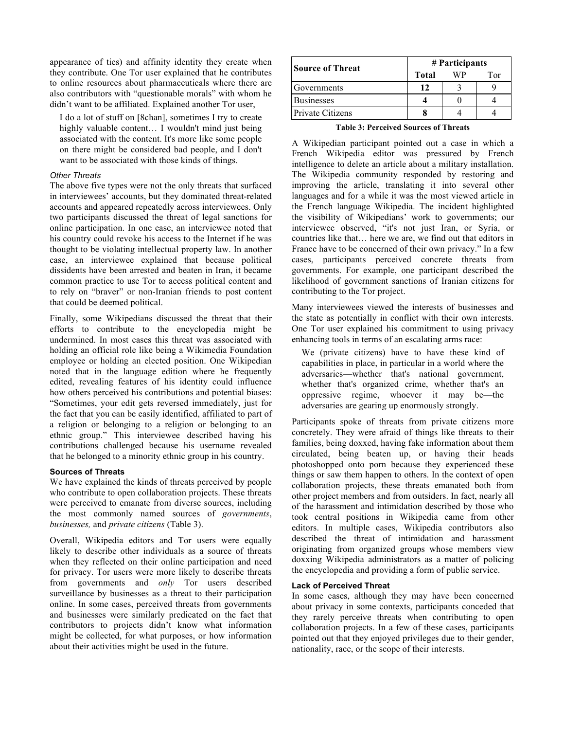appearance of ties) and affinity identity they create when they contribute. One Tor user explained that he contributes to online resources about pharmaceuticals where there are also contributors with "questionable morals" with whom he didn't want to be affiliated. Explained another Tor user,

I do a lot of stuff on [8chan], sometimes I try to create highly valuable content... I wouldn't mind just being associated with the content. It's more like some people on there might be considered bad people, and I don't want to be associated with those kinds of things.

# *Other Threats*

The above five types were not the only threats that surfaced in interviewees' accounts, but they dominated threat-related accounts and appeared repeatedly across interviewees. Only two participants discussed the threat of legal sanctions for online participation. In one case, an interviewee noted that his country could revoke his access to the Internet if he was thought to be violating intellectual property law. In another case, an interviewee explained that because political dissidents have been arrested and beaten in Iran, it became common practice to use Tor to access political content and to rely on "braver" or non-Iranian friends to post content that could be deemed political.

Finally, some Wikipedians discussed the threat that their efforts to contribute to the encyclopedia might be undermined. In most cases this threat was associated with holding an official role like being a Wikimedia Foundation employee or holding an elected position. One Wikipedian noted that in the language edition where he frequently edited, revealing features of his identity could influence how others perceived his contributions and potential biases: "Sometimes, your edit gets reversed immediately, just for the fact that you can be easily identified, affiliated to part of a religion or belonging to a religion or belonging to an ethnic group." This interviewee described having his contributions challenged because his username revealed that he belonged to a minority ethnic group in his country.

# **Sources of Threats**

We have explained the kinds of threats perceived by people who contribute to open collaboration projects. These threats were perceived to emanate from diverse sources, including the most commonly named sources of *governments*, *businesses,* and *private citizens* (Table 3).

Overall, Wikipedia editors and Tor users were equally likely to describe other individuals as a source of threats when they reflected on their online participation and need for privacy. Tor users were more likely to describe threats from governments and *only* Tor users described surveillance by businesses as a threat to their participation online. In some cases, perceived threats from governments and businesses were similarly predicated on the fact that contributors to projects didn't know what information might be collected, for what purposes, or how information about their activities might be used in the future.

| <b>Source of Threat</b> | # Participants |    |     |
|-------------------------|----------------|----|-----|
|                         | <b>Total</b>   | WР | Tor |
| Governments             | 12             |    |     |
| <b>Businesses</b>       |                |    |     |
| Private Citizens        |                |    |     |
|                         |                |    |     |

**Table 3: Perceived Sources of Threats**

A Wikipedian participant pointed out a case in which a French Wikipedia editor was pressured by French intelligence to delete an article about a military installation. The Wikipedia community responded by restoring and improving the article, translating it into several other languages and for a while it was the most viewed article in the French language Wikipedia. The incident highlighted the visibility of Wikipedians' work to governments; our interviewee observed, "it's not just Iran, or Syria, or countries like that… here we are, we find out that editors in France have to be concerned of their own privacy." In a few cases, participants perceived concrete threats from governments. For example, one participant described the likelihood of government sanctions of Iranian citizens for contributing to the Tor project.

Many interviewees viewed the interests of businesses and the state as potentially in conflict with their own interests. One Tor user explained his commitment to using privacy enhancing tools in terms of an escalating arms race:

We (private citizens) have to have these kind of capabilities in place, in particular in a world where the adversaries—whether that's national government, whether that's organized crime, whether that's an oppressive regime, whoever it may be—the adversaries are gearing up enormously strongly.

Participants spoke of threats from private citizens more concretely. They were afraid of things like threats to their families, being doxxed, having fake information about them circulated, being beaten up, or having their heads photoshopped onto porn because they experienced these things or saw them happen to others. In the context of open collaboration projects, these threats emanated both from other project members and from outsiders. In fact, nearly all of the harassment and intimidation described by those who took central positions in Wikipedia came from other editors. In multiple cases, Wikipedia contributors also described the threat of intimidation and harassment originating from organized groups whose members view doxxing Wikipedia administrators as a matter of policing the encyclopedia and providing a form of public service.

# **Lack of Perceived Threat**

In some cases, although they may have been concerned about privacy in some contexts, participants conceded that they rarely perceive threats when contributing to open collaboration projects. In a few of these cases, participants pointed out that they enjoyed privileges due to their gender, nationality, race, or the scope of their interests.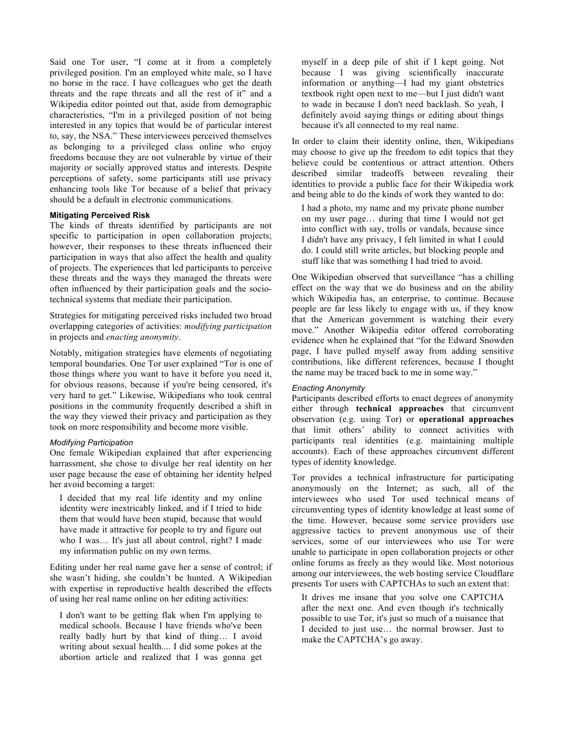Said one Tor user, "I come at it from a completely privileged position. I'm an employed white male, so I have no horse in the race. I have colleagues who get the death threats and the rape threats and all the rest of it" and a Wikipedia editor pointed out that, aside from demographic characteristics, "I'm in a privileged position of not being interested in any topics that would be of particular interest to, say, the NSA." These interviewees perceived themselves as belonging to a privileged class online who enjoy freedoms because they are not vulnerable by virtue of their majority or socially approved status and interests. Despite perceptions of safety, some participants still use privacy enhancing tools like Tor because of a belief that privacy should be a default in electronic communications.

#### **Mitigating Perceived Risk**

The kinds of threats identified by participants are not specific to participation in open collaboration projects; however, their responses to these threats influenced their participation in ways that also affect the health and quality of projects. The experiences that led participants to perceive these threats and the ways they managed the threats were often influenced by their participation goals and the sociotechnical systems that mediate their participation.

Strategies for mitigating perceived risks included two broad overlapping categories of activities: *modifying participation*  in projects and *enacting anonymity*.

Notably, mitigation strategies have elements of negotiating temporal boundaries. One Tor user explained "Tor is one of those things where you want to have it before you need it, for obvious reasons, because if you're being censored, it's very hard to get." Likewise, Wikipedians who took central positions in the community frequently described a shift in the way they viewed their privacy and participation as they took on more responsibility and become more visible.

#### *Modifying Participation*

One female Wikipedian explained that after experiencing harrassment, she chose to divulge her real identity on her user page because the ease of obtaining her identity helped her avoid becoming a target:

I decided that my real life identity and my online identity were inextricably linked, and if I tried to hide them that would have been stupid, because that would have made it attractive for people to try and figure out who I was… It's just all about control, right? I made my information public on my own terms.

Editing under her real name gave her a sense of control; if she wasn't hiding, she couldn't be hunted. A Wikipedian with expertise in reproductive health described the effects of using her real name online on her editing activities:

I don't want to be getting flak when I'm applying to medical schools. Because I have friends who've been really badly hurt by that kind of thing… I avoid writing about sexual health.... I did some pokes at the abortion article and realized that I was gonna get

myself in a deep pile of shit if I kept going. Not because I was giving scientifically inaccurate information or anything—I had my giant obstetrics textbook right open next to me—but I just didn't want to wade in because I don't need backlash. So yeah, I definitely avoid saying things or editing about things because it's all connected to my real name.

In order to claim their identity online, then, Wikipedians may choose to give up the freedom to edit topics that they believe could be contentious or attract attention. Others described similar tradeoffs between revealing their identities to provide a public face for their Wikipedia work and being able to do the kinds of work they wanted to do:

I had a photo, my name and my private phone number on my user page… during that time I would not get into conflict with say, trolls or vandals, because since I didn't have any privacy, I felt limited in what I could do. I could still write articles, but blocking people and stuff like that was something I had tried to avoid.

One Wikipedian observed that surveillance "has a chilling effect on the way that we do business and on the ability which Wikipedia has, an enterprise, to continue. Because people are far less likely to engage with us, if they know that the American government is watching their every move." Another Wikipedia editor offered corroborating evidence when he explained that "for the Edward Snowden page, I have pulled myself away from adding sensitive contributions, like different references, because I thought the name may be traced back to me in some way."

# *Enacting Anonymity*

Participants described efforts to enact degrees of anonymity either through **technical approaches** that circumvent observation (e.g. using Tor) or **operational approaches** that limit others' ability to connect activities with participants real identities (e.g. maintaining multiple accounts). Each of these approaches circumvent different types of identity knowledge.

Tor provides a technical infrastructure for participating anonymously on the Internet; as such, all of the interviewees who used Tor used technical means of circumventing types of identity knowledge at least some of the time. However, because some service providers use aggressive tactics to prevent anonymous use of their services, some of our interviewees who use Tor were unable to participate in open collaboration projects or other online forums as freely as they would like. Most notorious among our interviewees, the web hosting service Cloudflare presents Tor users with CAPTCHAs to such an extent that:

It drives me insane that you solve one CAPTCHA after the next one. And even though it's technically possible to use Tor, it's just so much of a nuisance that I decided to just use… the normal browser. Just to make the CAPTCHA's go away.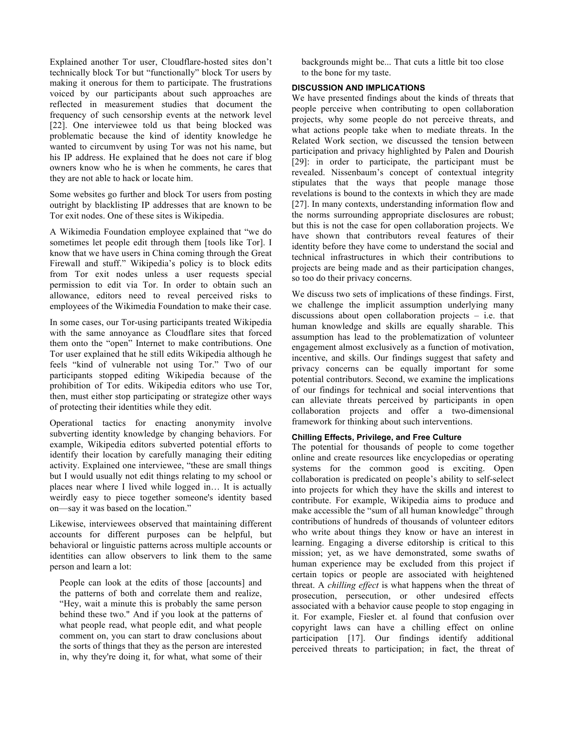Explained another Tor user, Cloudflare-hosted sites don't technically block Tor but "functionally" block Tor users by making it onerous for them to participate. The frustrations voiced by our participants about such approaches are reflected in measurement studies that document the frequency of such censorship events at the network level [22]. One interviewee told us that being blocked was problematic because the kind of identity knowledge he wanted to circumvent by using Tor was not his name, but his IP address. He explained that he does not care if blog owners know who he is when he comments, he cares that they are not able to hack or locate him.

Some websites go further and block Tor users from posting outright by blacklisting IP addresses that are known to be Tor exit nodes. One of these sites is Wikipedia.

A Wikimedia Foundation employee explained that "we do sometimes let people edit through them [tools like Tor]. I know that we have users in China coming through the Great Firewall and stuff." Wikipedia's policy is to block edits from Tor exit nodes unless a user requests special permission to edit via Tor. In order to obtain such an allowance, editors need to reveal perceived risks to employees of the Wikimedia Foundation to make their case.

In some cases, our Tor-using participants treated Wikipedia with the same annoyance as Cloudflare sites that forced them onto the "open" Internet to make contributions. One Tor user explained that he still edits Wikipedia although he feels "kind of vulnerable not using Tor." Two of our participants stopped editing Wikipedia because of the prohibition of Tor edits. Wikipedia editors who use Tor, then, must either stop participating or strategize other ways of protecting their identities while they edit.

Operational tactics for enacting anonymity involve subverting identity knowledge by changing behaviors. For example, Wikipedia editors subverted potential efforts to identify their location by carefully managing their editing activity. Explained one interviewee, "these are small things but I would usually not edit things relating to my school or places near where I lived while logged in… It is actually weirdly easy to piece together someone's identity based on—say it was based on the location."

Likewise, interviewees observed that maintaining different accounts for different purposes can be helpful, but behavioral or linguistic patterns across multiple accounts or identities can allow observers to link them to the same person and learn a lot:

People can look at the edits of those [accounts] and the patterns of both and correlate them and realize, "Hey, wait a minute this is probably the same person behind these two." And if you look at the patterns of what people read, what people edit, and what people comment on, you can start to draw conclusions about the sorts of things that they as the person are interested in, why they're doing it, for what, what some of their

backgrounds might be... That cuts a little bit too close to the bone for my taste.

# **DISCUSSION AND IMPLICATIONS**

We have presented findings about the kinds of threats that people perceive when contributing to open collaboration projects, why some people do not perceive threats, and what actions people take when to mediate threats. In the Related Work section, we discussed the tension between participation and privacy highlighted by Palen and Dourish [29]: in order to participate, the participant must be revealed. Nissenbaum's concept of contextual integrity stipulates that the ways that people manage those revelations is bound to the contexts in which they are made [27]. In many contexts, understanding information flow and the norms surrounding appropriate disclosures are robust; but this is not the case for open collaboration projects. We have shown that contributors reveal features of their identity before they have come to understand the social and technical infrastructures in which their contributions to projects are being made and as their participation changes, so too do their privacy concerns.

We discuss two sets of implications of these findings. First, we challenge the implicit assumption underlying many discussions about open collaboration projects – i.e. that human knowledge and skills are equally sharable. This assumption has lead to the problematization of volunteer engagement almost exclusively as a function of motivation, incentive, and skills. Our findings suggest that safety and privacy concerns can be equally important for some potential contributors. Second, we examine the implications of our findings for technical and social interventions that can alleviate threats perceived by participants in open collaboration projects and offer a two-dimensional framework for thinking about such interventions.

# **Chilling Effects, Privilege, and Free Culture**

The potential for thousands of people to come together online and create resources like encyclopedias or operating systems for the common good is exciting. Open collaboration is predicated on people's ability to self-select into projects for which they have the skills and interest to contribute. For example, Wikipedia aims to produce and make accessible the "sum of all human knowledge" through contributions of hundreds of thousands of volunteer editors who write about things they know or have an interest in learning. Engaging a diverse editorship is critical to this mission; yet, as we have demonstrated, some swaths of human experience may be excluded from this project if certain topics or people are associated with heightened threat. A *chilling effect* is what happens when the threat of prosecution, persecution, or other undesired effects associated with a behavior cause people to stop engaging in it. For example, Fiesler et. al found that confusion over copyright laws can have a chilling effect on online participation [17]. Our findings identify additional perceived threats to participation; in fact, the threat of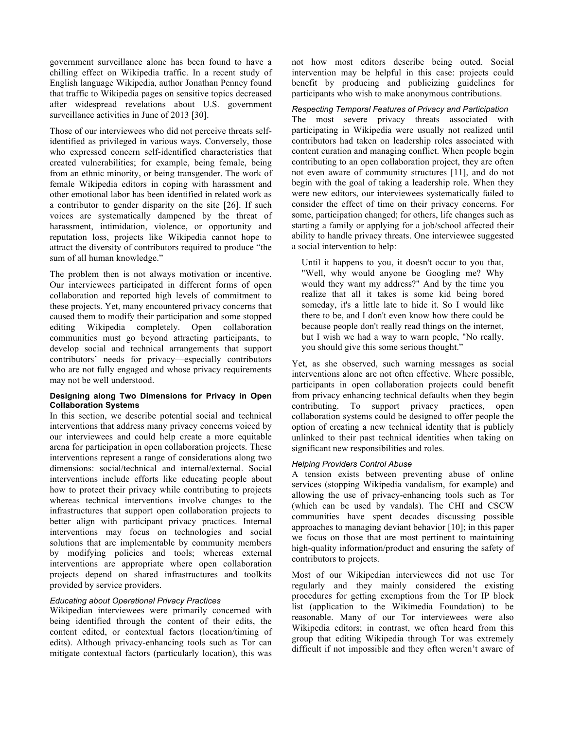government surveillance alone has been found to have a chilling effect on Wikipedia traffic. In a recent study of English language Wikipedia, author Jonathan Penney found that traffic to Wikipedia pages on sensitive topics decreased after widespread revelations about U.S. government surveillance activities in June of 2013 [30].

Those of our interviewees who did not perceive threats selfidentified as privileged in various ways. Conversely, those who expressed concern self-identified characteristics that created vulnerabilities; for example, being female, being from an ethnic minority, or being transgender. The work of female Wikipedia editors in coping with harassment and other emotional labor has been identified in related work as a contributor to gender disparity on the site [26]. If such voices are systematically dampened by the threat of harassment, intimidation, violence, or opportunity and reputation loss, projects like Wikipedia cannot hope to attract the diversity of contributors required to produce "the sum of all human knowledge."

The problem then is not always motivation or incentive. Our interviewees participated in different forms of open collaboration and reported high levels of commitment to these projects. Yet, many encountered privacy concerns that caused them to modify their participation and some stopped editing Wikipedia completely. Open collaboration communities must go beyond attracting participants, to develop social and technical arrangements that support contributors' needs for privacy—especially contributors who are not fully engaged and whose privacy requirements may not be well understood.

# **Designing along Two Dimensions for Privacy in Open Collaboration Systems**

In this section, we describe potential social and technical interventions that address many privacy concerns voiced by our interviewees and could help create a more equitable arena for participation in open collaboration projects. These interventions represent a range of considerations along two dimensions: social/technical and internal/external. Social interventions include efforts like educating people about how to protect their privacy while contributing to projects whereas technical interventions involve changes to the infrastructures that support open collaboration projects to better align with participant privacy practices. Internal interventions may focus on technologies and social solutions that are implementable by community members by modifying policies and tools; whereas external interventions are appropriate where open collaboration projects depend on shared infrastructures and toolkits provided by service providers.

# *Educating about Operational Privacy Practices*

Wikipedian interviewees were primarily concerned with being identified through the content of their edits, the content edited, or contextual factors (location/timing of edits). Although privacy-enhancing tools such as Tor can mitigate contextual factors (particularly location), this was not how most editors describe being outed. Social intervention may be helpful in this case: projects could benefit by producing and publicizing guidelines for participants who wish to make anonymous contributions.

*Respecting Temporal Features of Privacy and Participation*

The most severe privacy threats associated with participating in Wikipedia were usually not realized until contributors had taken on leadership roles associated with content curation and managing conflict. When people begin contributing to an open collaboration project, they are often not even aware of community structures [11], and do not begin with the goal of taking a leadership role. When they were new editors, our interviewees systematically failed to consider the effect of time on their privacy concerns. For some, participation changed; for others, life changes such as starting a family or applying for a job/school affected their ability to handle privacy threats. One interviewee suggested a social intervention to help:

Until it happens to you, it doesn't occur to you that, "Well, why would anyone be Googling me? Why would they want my address?" And by the time you realize that all it takes is some kid being bored someday, it's a little late to hide it. So I would like there to be, and I don't even know how there could be because people don't really read things on the internet, but I wish we had a way to warn people, "No really, you should give this some serious thought."

Yet, as she observed, such warning messages as social interventions alone are not often effective. Where possible, participants in open collaboration projects could benefit from privacy enhancing technical defaults when they begin contributing. To support privacy practices, open collaboration systems could be designed to offer people the option of creating a new technical identity that is publicly unlinked to their past technical identities when taking on significant new responsibilities and roles.

# *Helping Providers Control Abuse*

A tension exists between preventing abuse of online services (stopping Wikipedia vandalism, for example) and allowing the use of privacy-enhancing tools such as Tor (which can be used by vandals). The CHI and CSCW communities have spent decades discussing possible approaches to managing deviant behavior [10]; in this paper we focus on those that are most pertinent to maintaining high-quality information/product and ensuring the safety of contributors to projects.

Most of our Wikipedian interviewees did not use Tor regularly and they mainly considered the existing procedures for getting exemptions from the Tor IP block list (application to the Wikimedia Foundation) to be reasonable. Many of our Tor interviewees were also Wikipedia editors; in contrast, we often heard from this group that editing Wikipedia through Tor was extremely difficult if not impossible and they often weren't aware of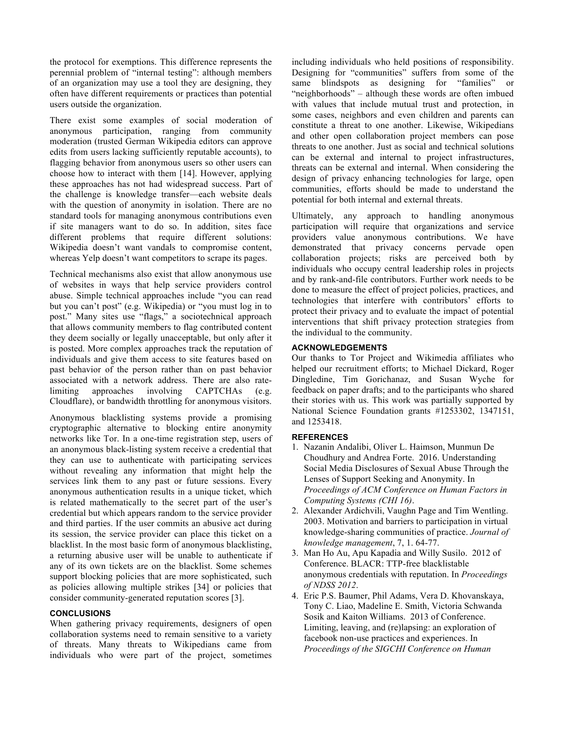the protocol for exemptions. This difference represents the perennial problem of "internal testing": although members of an organization may use a tool they are designing, they often have different requirements or practices than potential users outside the organization.

There exist some examples of social moderation of anonymous participation, ranging from community moderation (trusted German Wikipedia editors can approve edits from users lacking sufficiently reputable accounts), to flagging behavior from anonymous users so other users can choose how to interact with them [14]. However, applying these approaches has not had widespread success. Part of the challenge is knowledge transfer—each website deals with the question of anonymity in isolation. There are no standard tools for managing anonymous contributions even if site managers want to do so. In addition, sites face different problems that require different solutions: Wikipedia doesn't want vandals to compromise content, whereas Yelp doesn't want competitors to scrape its pages.

Technical mechanisms also exist that allow anonymous use of websites in ways that help service providers control abuse. Simple technical approaches include "you can read but you can't post" (e.g. Wikipedia) or "you must log in to post." Many sites use "flags," a sociotechnical approach that allows community members to flag contributed content they deem socially or legally unacceptable, but only after it is posted. More complex approaches track the reputation of individuals and give them access to site features based on past behavior of the person rather than on past behavior associated with a network address. There are also ratelimiting approaches involving CAPTCHAs (e.g. Cloudflare), or bandwidth throttling for anonymous visitors.

Anonymous blacklisting systems provide a promising cryptographic alternative to blocking entire anonymity networks like Tor. In a one-time registration step, users of an anonymous black-listing system receive a credential that they can use to authenticate with participating services without revealing any information that might help the services link them to any past or future sessions. Every anonymous authentication results in a unique ticket, which is related mathematically to the secret part of the user's credential but which appears random to the service provider and third parties. If the user commits an abusive act during its session, the service provider can place this ticket on a blacklist. In the most basic form of anonymous blacklisting, a returning abusive user will be unable to authenticate if any of its own tickets are on the blacklist. Some schemes support blocking policies that are more sophisticated, such as policies allowing multiple strikes [34] or policies that consider community-generated reputation scores [3].

# **CONCLUSIONS**

When gathering privacy requirements, designers of open collaboration systems need to remain sensitive to a variety of threats. Many threats to Wikipedians came from individuals who were part of the project, sometimes including individuals who held positions of responsibility. Designing for "communities" suffers from some of the same blindspots as designing for "families" or "neighborhoods" – although these words are often imbued with values that include mutual trust and protection, in some cases, neighbors and even children and parents can constitute a threat to one another. Likewise, Wikipedians and other open collaboration project members can pose threats to one another. Just as social and technical solutions can be external and internal to project infrastructures, threats can be external and internal. When considering the design of privacy enhancing technologies for large, open communities, efforts should be made to understand the potential for both internal and external threats.

Ultimately, any approach to handling anonymous participation will require that organizations and service providers value anonymous contributions. We have demonstrated that privacy concerns pervade open collaboration projects; risks are perceived both by individuals who occupy central leadership roles in projects and by rank-and-file contributors. Further work needs to be done to measure the effect of project policies, practices, and technologies that interfere with contributors' efforts to protect their privacy and to evaluate the impact of potential interventions that shift privacy protection strategies from the individual to the community.

# **ACKNOWLEDGEMENTS**

Our thanks to Tor Project and Wikimedia affiliates who helped our recruitment efforts; to Michael Dickard, Roger Dingledine, Tim Gorichanaz, and Susan Wyche for feedback on paper drafts; and to the participants who shared their stories with us. This work was partially supported by National Science Foundation grants #1253302, 1347151, and 1253418.

# **REFERENCES**

- 1. Nazanin Andalibi, Oliver L. Haimson, Munmun De Choudhury and Andrea Forte. 2016. Understanding Social Media Disclosures of Sexual Abuse Through the Lenses of Support Seeking and Anonymity. In *Proceedings of ACM Conference on Human Factors in Computing Systems (CHI 16)*.
- 2. Alexander Ardichvili, Vaughn Page and Tim Wentling. 2003. Motivation and barriers to participation in virtual knowledge-sharing communities of practice. *Journal of knowledge management*, 7, 1. 64-77.
- 3. Man Ho Au, Apu Kapadia and Willy Susilo. 2012 of Conference. BLACR: TTP-free blacklistable anonymous credentials with reputation. In *Proceedings of NDSS 2012*.
- 4. Eric P.S. Baumer, Phil Adams, Vera D. Khovanskaya, Tony C. Liao, Madeline E. Smith, Victoria Schwanda Sosik and Kaiton Williams. 2013 of Conference. Limiting, leaving, and (re)lapsing: an exploration of facebook non-use practices and experiences. In *Proceedings of the SIGCHI Conference on Human*